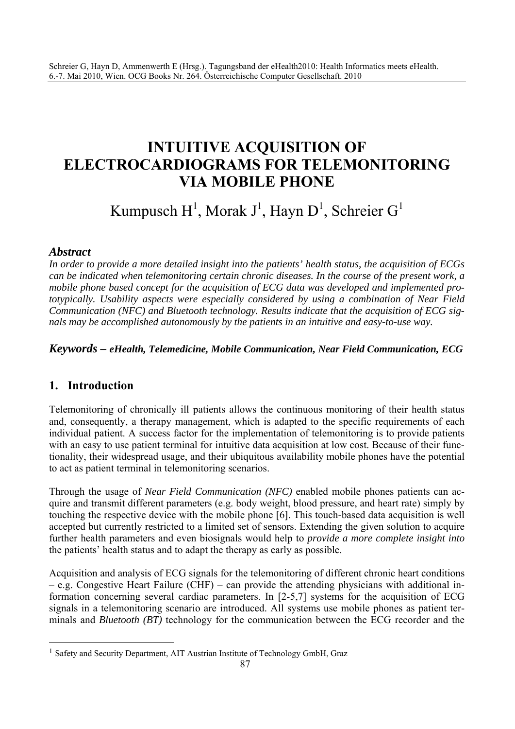# **INTUITIVE ACQUISITION OF ELECTROCARDIOGRAMS FOR TELEMONITORING VIA MOBILE PHONE**

# Kumpusch H<sup>1</sup>, Morak J<sup>1</sup>, Hayn D<sup>1</sup>, Schreier G<sup>1</sup>

#### *Abstract*

*In order to provide a more detailed insight into the patients' health status, the acquisition of ECGs can be indicated when telemonitoring certain chronic diseases. In the course of the present work, a mobile phone based concept for the acquisition of ECG data was developed and implemented prototypically. Usability aspects were especially considered by using a combination of Near Field Communication (NFC) and Bluetooth technology. Results indicate that the acquisition of ECG signals may be accomplished autonomously by the patients in an intuitive and easy-to-use way.* 

#### *Keywords – eHealth, Telemedicine, Mobile Communication, Near Field Communication, ECG*

# **1. Introduction**

 $\overline{a}$ 

Telemonitoring of chronically ill patients allows the continuous monitoring of their health status and, consequently, a therapy management, which is adapted to the specific requirements of each individual patient. A success factor for the implementation of telemonitoring is to provide patients with an easy to use patient terminal for intuitive data acquisition at low cost. Because of their functionality, their widespread usage, and their ubiquitous availability mobile phones have the potential to act as patient terminal in telemonitoring scenarios.

Through the usage of *Near Field Communication (NFC)* enabled mobile phones patients can acquire and transmit different parameters (e.g. body weight, blood pressure, and heart rate) simply by touching the respective device with the mobile phone [6]. This touch-based data acquisition is well accepted but currently restricted to a limited set of sensors. Extending the given solution to acquire further health parameters and even biosignals would help to *provide a more complete insight into* the patients' health status and to adapt the therapy as early as possible.

Acquisition and analysis of ECG signals for the telemonitoring of different chronic heart conditions – e.g. Congestive Heart Failure (CHF) – can provide the attending physicians with additional information concerning several cardiac parameters. In [2-5,7] systems for the acquisition of ECG signals in a telemonitoring scenario are introduced. All systems use mobile phones as patient terminals and *Bluetooth (BT)* technology for the communication between the ECG recorder and the

<sup>&</sup>lt;sup>1</sup> Safety and Security Department, AIT Austrian Institute of Technology GmbH, Graz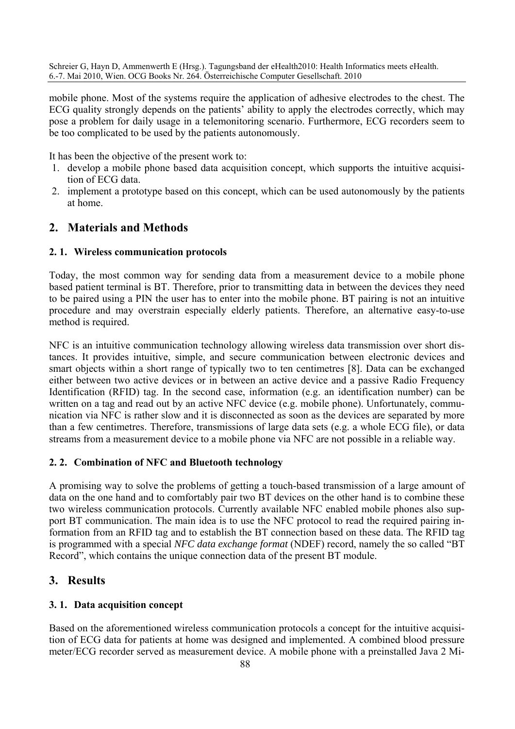mobile phone. Most of the systems require the application of adhesive electrodes to the chest. The ECG quality strongly depends on the patients' ability to apply the electrodes correctly, which may pose a problem for daily usage in a telemonitoring scenario. Furthermore, ECG recorders seem to be too complicated to be used by the patients autonomously.

It has been the objective of the present work to:

- 1. develop a mobile phone based data acquisition concept, which supports the intuitive acquisition of ECG data.
- 2. implement a prototype based on this concept, which can be used autonomously by the patients at home.

# **2. Materials and Methods**

#### **2. 1. Wireless communication protocols**

Today, the most common way for sending data from a measurement device to a mobile phone based patient terminal is BT. Therefore, prior to transmitting data in between the devices they need to be paired using a PIN the user has to enter into the mobile phone. BT pairing is not an intuitive procedure and may overstrain especially elderly patients. Therefore, an alternative easy-to-use method is required.

NFC is an intuitive communication technology allowing wireless data transmission over short distances. It provides intuitive, simple, and secure communication between electronic devices and smart objects within a short range of typically two to ten centimetres [8]. Data can be exchanged either between two active devices or in between an active device and a passive Radio Frequency Identification (RFID) tag. In the second case, information (e.g. an identification number) can be written on a tag and read out by an active NFC device (e.g. mobile phone). Unfortunately, communication via NFC is rather slow and it is disconnected as soon as the devices are separated by more than a few centimetres. Therefore, transmissions of large data sets (e.g. a whole ECG file), or data streams from a measurement device to a mobile phone via NFC are not possible in a reliable way.

#### **2. 2. Combination of NFC and Bluetooth technology**

A promising way to solve the problems of getting a touch-based transmission of a large amount of data on the one hand and to comfortably pair two BT devices on the other hand is to combine these two wireless communication protocols. Currently available NFC enabled mobile phones also support BT communication. The main idea is to use the NFC protocol to read the required pairing information from an RFID tag and to establish the BT connection based on these data. The RFID tag is programmed with a special *NFC data exchange format* (NDEF) record, namely the so called "BT Record", which contains the unique connection data of the present BT module.

# **3. Results**

#### **3. 1. Data acquisition concept**

Based on the aforementioned wireless communication protocols a concept for the intuitive acquisition of ECG data for patients at home was designed and implemented. A combined blood pressure meter/ECG recorder served as measurement device. A mobile phone with a preinstalled Java 2 Mi-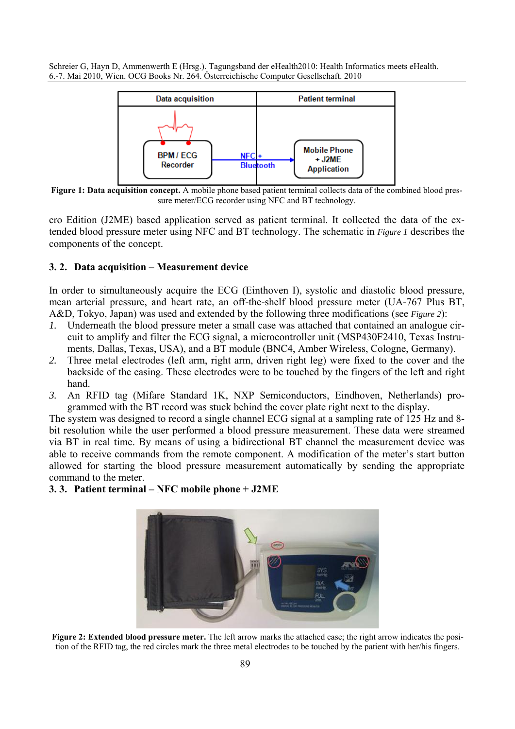

**Figure 1: Data acquisition concept.** A mobile phone based patient terminal collects data of the combined blood pressure meter/ECG recorder using NFC and BT technology.

cro Edition (J2ME) based application served as patient terminal. It collected the data of the extended blood pressure meter using NFC and BT technology. The schematic in *Figure 1* describes the components of the concept.

#### **3. 2. Data acquisition – Measurement device**

In order to simultaneously acquire the ECG (Einthoven I), systolic and diastolic blood pressure, mean arterial pressure, and heart rate, an off-the-shelf blood pressure meter (UA-767 Plus BT, A&D, Tokyo, Japan) was used and extended by the following three modifications (see *Figure 2*):

- *1.* Underneath the blood pressure meter a small case was attached that contained an analogue circuit to amplify and filter the ECG signal, a microcontroller unit (MSP430F2410, Texas Instruments, Dallas, Texas, USA), and a BT module (BNC4, Amber Wireless, Cologne, Germany).
- *2.* Three metal electrodes (left arm, right arm, driven right leg) were fixed to the cover and the backside of the casing. These electrodes were to be touched by the fingers of the left and right hand.
- *3.* An RFID tag (Mifare Standard 1K, NXP Semiconductors, Eindhoven, Netherlands) programmed with the BT record was stuck behind the cover plate right next to the display.

The system was designed to record a single channel ECG signal at a sampling rate of 125 Hz and 8 bit resolution while the user performed a blood pressure measurement. These data were streamed via BT in real time. By means of using a bidirectional BT channel the measurement device was able to receive commands from the remote component. A modification of the meter's start button allowed for starting the blood pressure measurement automatically by sending the appropriate command to the meter.

#### **3. 3. Patient terminal – NFC mobile phone + J2ME**



**Figure 2: Extended blood pressure meter.** The left arrow marks the attached case; the right arrow indicates the position of the RFID tag, the red circles mark the three metal electrodes to be touched by the patient with her/his fingers.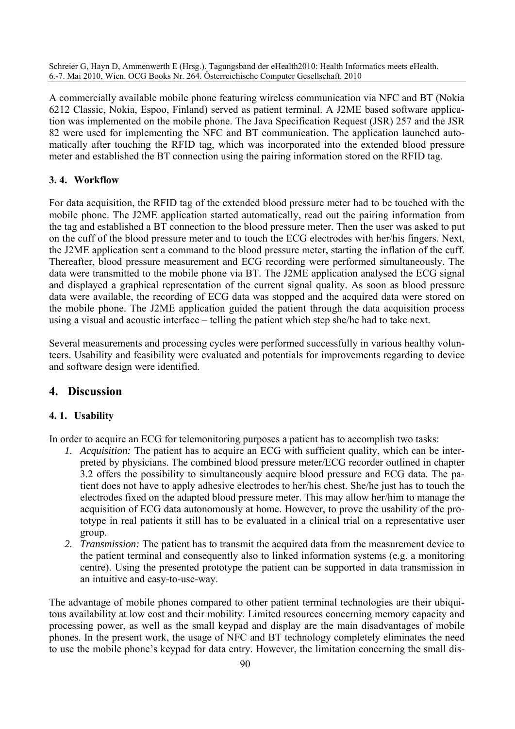A commercially available mobile phone featuring wireless communication via NFC and BT (Nokia 6212 Classic, Nokia, Espoo, Finland) served as patient terminal. A J2ME based software application was implemented on the mobile phone. The Java Specification Request (JSR) 257 and the JSR 82 were used for implementing the NFC and BT communication. The application launched automatically after touching the RFID tag, which was incorporated into the extended blood pressure meter and established the BT connection using the pairing information stored on the RFID tag.

#### **3. 4. Workflow**

For data acquisition, the RFID tag of the extended blood pressure meter had to be touched with the mobile phone. The J2ME application started automatically, read out the pairing information from the tag and established a BT connection to the blood pressure meter. Then the user was asked to put on the cuff of the blood pressure meter and to touch the ECG electrodes with her/his fingers. Next, the J2ME application sent a command to the blood pressure meter, starting the inflation of the cuff. Thereafter, blood pressure measurement and ECG recording were performed simultaneously. The data were transmitted to the mobile phone via BT. The J2ME application analysed the ECG signal and displayed a graphical representation of the current signal quality. As soon as blood pressure data were available, the recording of ECG data was stopped and the acquired data were stored on the mobile phone. The J2ME application guided the patient through the data acquisition process using a visual and acoustic interface – telling the patient which step she/he had to take next.

Several measurements and processing cycles were performed successfully in various healthy volunteers. Usability and feasibility were evaluated and potentials for improvements regarding to device and software design were identified.

# **4. Discussion**

#### **4. 1. Usability**

In order to acquire an ECG for telemonitoring purposes a patient has to accomplish two tasks:

- *1. Acquisition:* The patient has to acquire an ECG with sufficient quality, which can be interpreted by physicians. The combined blood pressure meter/ECG recorder outlined in chapter 3.2 offers the possibility to simultaneously acquire blood pressure and ECG data. The patient does not have to apply adhesive electrodes to her/his chest. She/he just has to touch the electrodes fixed on the adapted blood pressure meter. This may allow her/him to manage the acquisition of ECG data autonomously at home. However, to prove the usability of the prototype in real patients it still has to be evaluated in a clinical trial on a representative user group.
- *2. Transmission:* The patient has to transmit the acquired data from the measurement device to the patient terminal and consequently also to linked information systems (e.g. a monitoring centre). Using the presented prototype the patient can be supported in data transmission in an intuitive and easy-to-use-way.

The advantage of mobile phones compared to other patient terminal technologies are their ubiquitous availability at low cost and their mobility. Limited resources concerning memory capacity and processing power, as well as the small keypad and display are the main disadvantages of mobile phones. In the present work, the usage of NFC and BT technology completely eliminates the need to use the mobile phone's keypad for data entry. However, the limitation concerning the small dis-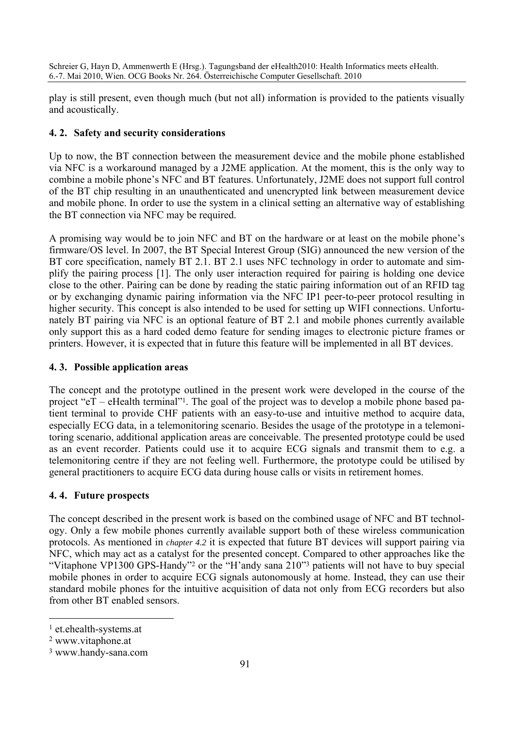play is still present, even though much (but not all) information is provided to the patients visually and acoustically.

#### **4. 2. Safety and security considerations**

Up to now, the BT connection between the measurement device and the mobile phone established via NFC is a workaround managed by a J2ME application. At the moment, this is the only way to combine a mobile phone's NFC and BT features. Unfortunately, J2ME does not support full control of the BT chip resulting in an unauthenticated and unencrypted link between measurement device and mobile phone. In order to use the system in a clinical setting an alternative way of establishing the BT connection via NFC may be required.

A promising way would be to join NFC and BT on the hardware or at least on the mobile phone's firmware/OS level. In 2007, the BT Special Interest Group (SIG) announced the new version of the BT core specification, namely BT 2.1. BT 2.1 uses NFC technology in order to automate and simplify the pairing process [1]. The only user interaction required for pairing is holding one device close to the other. Pairing can be done by reading the static pairing information out of an RFID tag or by exchanging dynamic pairing information via the NFC IP1 peer-to-peer protocol resulting in higher security. This concept is also intended to be used for setting up WIFI connections. Unfortunately BT pairing via NFC is an optional feature of BT 2.1 and mobile phones currently available only support this as a hard coded demo feature for sending images to electronic picture frames or printers. However, it is expected that in future this feature will be implemented in all BT devices.

#### **4. 3. Possible application areas**

The concept and the prototype outlined in the present work were developed in the course of the project "eT – eHealth terminal"1. The goal of the project was to develop a mobile phone based patient terminal to provide CHF patients with an easy-to-use and intuitive method to acquire data, especially ECG data, in a telemonitoring scenario. Besides the usage of the prototype in a telemonitoring scenario, additional application areas are conceivable. The presented prototype could be used as an event recorder. Patients could use it to acquire ECG signals and transmit them to e.g. a telemonitoring centre if they are not feeling well. Furthermore, the prototype could be utilised by general practitioners to acquire ECG data during house calls or visits in retirement homes.

#### **4. 4. Future prospects**

The concept described in the present work is based on the combined usage of NFC and BT technology. Only a few mobile phones currently available support both of these wireless communication protocols. As mentioned in *chapter 4.2* it is expected that future BT devices will support pairing via NFC, which may act as a catalyst for the presented concept. Compared to other approaches like the "Vitaphone VP1300 GPS-Handy"<sup>2</sup> or the "H'andy sana 210"<sup>3</sup> patients will not have to buy special mobile phones in order to acquire ECG signals autonomously at home. Instead, they can use their standard mobile phones for the intuitive acquisition of data not only from ECG recorders but also from other BT enabled sensors.

 $\overline{a}$ 

<sup>1</sup> et.ehealth-systems.at

<sup>2</sup> www.vitaphone.at

<sup>3</sup> www.handy-sana.com